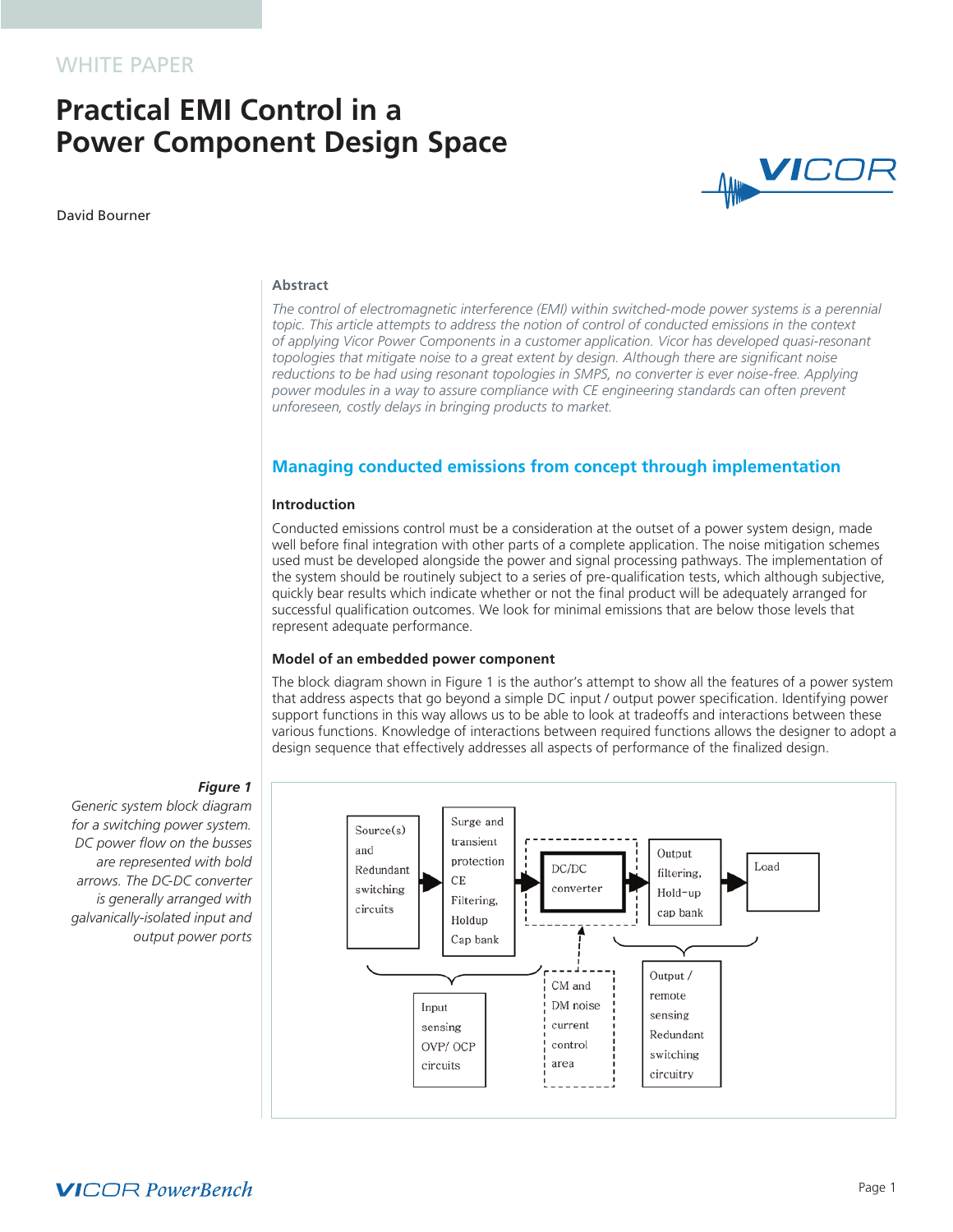# **Practical EMI Control in a Power Component Design Space**

David Bourner



# **Abstract**

*The control of electromagnetic interference (EMI) within switched-mode power systems is a perennial topic. This article attempts to address the notion of control of conducted emissions in the context of applying Vicor Power Components in a customer application. Vicor has developed quasi-resonant topologies that mitigate noise to a great extent by design. Although there are significant noise reductions to be had using resonant topologies in SMPS, no converter is ever noise-free. Applying power modules in a way to assure compliance with CE engineering standards can often prevent unforeseen, costly delays in bringing products to market.* 

# **Managing conducted emissions from concept through implementation**

#### **Introduction**

Conducted emissions control must be a consideration at the outset of a power system design, made well before final integration with other parts of a complete application. The noise mitigation schemes used must be developed alongside the power and signal processing pathways. The implementation of the system should be routinely subject to a series of pre-qualification tests, which although subjective, quickly bear results which indicate whether or not the final product will be adequately arranged for successful qualification outcomes. We look for minimal emissions that are below those levels that represent adequate performance.

## **Model of an embedded power component**

The block diagram shown in Figure 1 is the author's attempt to show all the features of a power system that address aspects that go beyond a simple DC input / output power specification. Identifying power support functions in this way allows us to be able to look at tradeoffs and interactions between these various functions. Knowledge of interactions between required functions allows the designer to adopt a design sequence that effectively addresses all aspects of performance of the finalized design.



*Generic system block diagram for a switching power system. DC power flow on the busses are represented with bold arrows. The DC-DC converter is generally arranged with galvanically-isolated input and output power ports*

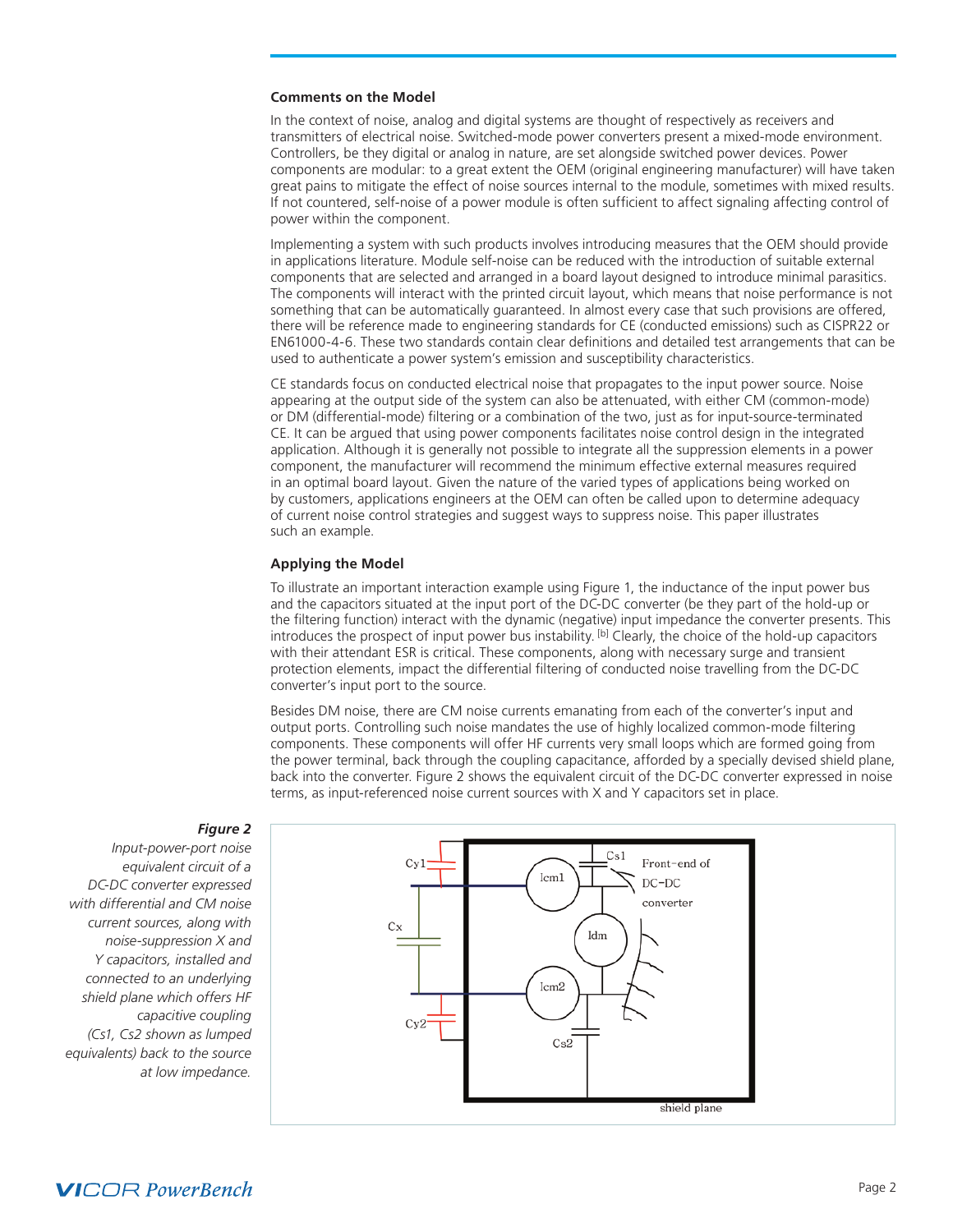#### **Comments on the Model**

In the context of noise, analog and digital systems are thought of respectively as receivers and transmitters of electrical noise. Switched-mode power converters present a mixed-mode environment. Controllers, be they digital or analog in nature, are set alongside switched power devices. Power components are modular: to a great extent the OEM (original engineering manufacturer) will have taken great pains to mitigate the effect of noise sources internal to the module, sometimes with mixed results. If not countered, self-noise of a power module is often sufficient to affect signaling affecting control of power within the component.

Implementing a system with such products involves introducing measures that the OEM should provide in applications literature. Module self-noise can be reduced with the introduction of suitable external components that are selected and arranged in a board layout designed to introduce minimal parasitics. The components will interact with the printed circuit layout, which means that noise performance is not something that can be automatically guaranteed. In almost every case that such provisions are offered, there will be reference made to engineering standards for CE (conducted emissions) such as CISPR22 or EN61000-4-6. These two standards contain clear definitions and detailed test arrangements that can be used to authenticate a power system's emission and susceptibility characteristics.

CE standards focus on conducted electrical noise that propagates to the input power source. Noise appearing at the output side of the system can also be attenuated, with either CM (common-mode) or DM (differential-mode) filtering or a combination of the two, just as for input-source-terminated CE. It can be argued that using power components facilitates noise control design in the integrated application. Although it is generally not possible to integrate all the suppression elements in a power component, the manufacturer will recommend the minimum effective external measures required in an optimal board layout. Given the nature of the varied types of applications being worked on by customers, applications engineers at the OEM can often be called upon to determine adequacy of current noise control strategies and suggest ways to suppress noise. This paper illustrates such an example.

#### **Applying the Model**

To illustrate an important interaction example using Figure 1, the inductance of the input power bus and the capacitors situated at the input port of the DC-DC converter (be they part of the hold-up or the filtering function) interact with the dynamic (negative) input impedance the converter presents. This introduces the prospect of input power bus instability.  $[<sup>b</sup>]$  Clearly, the choice of the hold-up capacitors with their attendant ESR is critical. These components, along with necessary surge and transient protection elements, impact the differential filtering of conducted noise travelling from the DC-DC converter's input port to the source.

Besides DM noise, there are CM noise currents emanating from each of the converter's input and output ports. Controlling such noise mandates the use of highly localized common-mode filtering components. These components will offer HF currents very small loops which are formed going from the power terminal, back through the coupling capacitance, afforded by a specially devised shield plane, back into the converter. Figure 2 shows the equivalent circuit of the DC-DC converter expressed in noise terms, as input-referenced noise current sources with X and Y capacitors set in place.



#### *Figure 2*

*equivalent circuit of a DC-DC converter expressed with differential and CM noise current sources, along with noise-suppression X and Y capacitors, installed and connected to an underlying shield plane which offers HF capacitive coupling (Cs1, Cs2 shown as lumped equivalents) back to the source at low impedance.*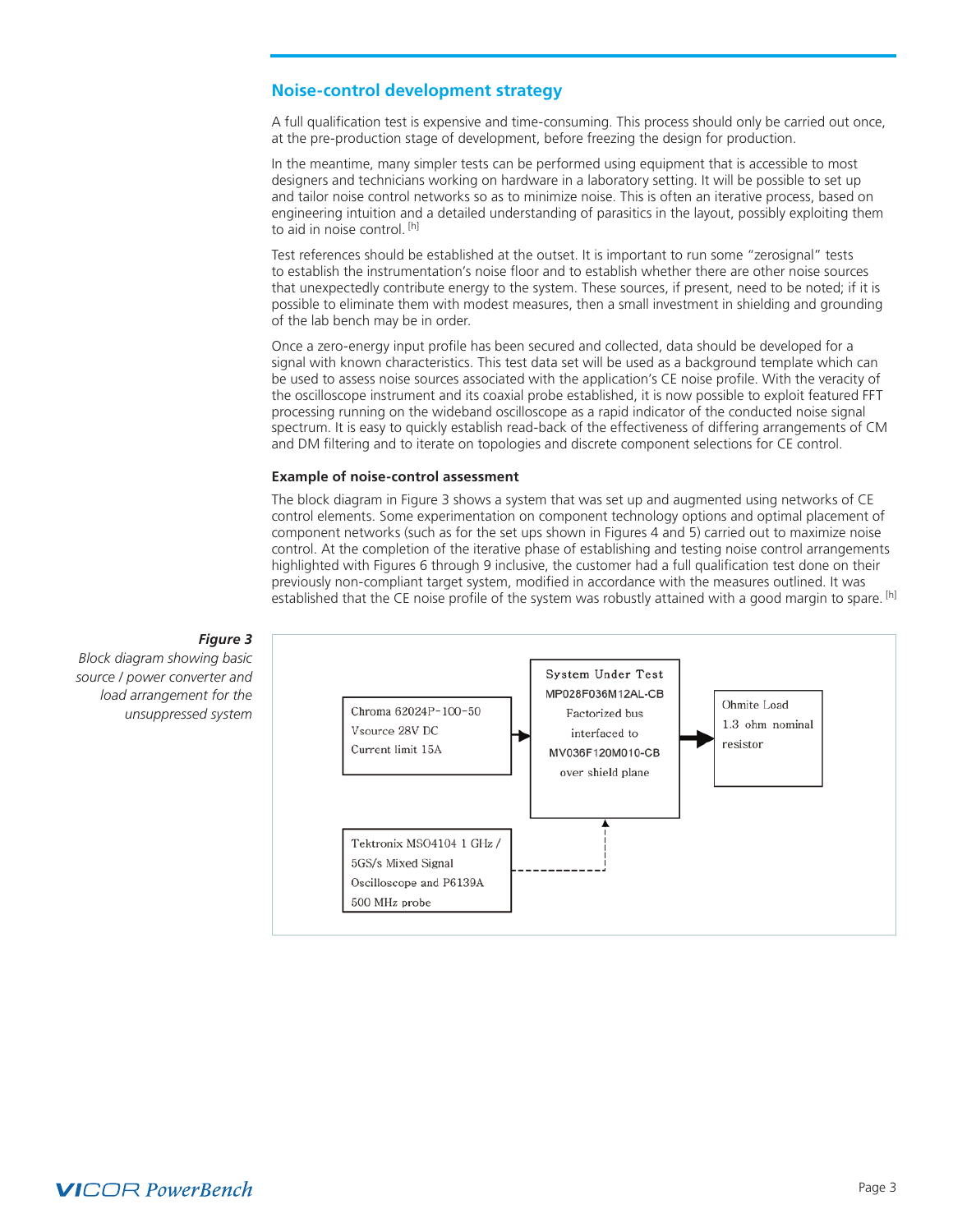# **Noise-control development strategy**

A full qualification test is expensive and time-consuming. This process should only be carried out once, at the pre-production stage of development, before freezing the design for production.

In the meantime, many simpler tests can be performed using equipment that is accessible to most designers and technicians working on hardware in a laboratory setting. It will be possible to set up and tailor noise control networks so as to minimize noise. This is often an iterative process, based on engineering intuition and a detailed understanding of parasitics in the layout, possibly exploiting them to aid in noise control. [h]

Test references should be established at the outset. It is important to run some "zerosignal" tests to establish the instrumentation's noise floor and to establish whether there are other noise sources that unexpectedly contribute energy to the system. These sources, if present, need to be noted; if it is possible to eliminate them with modest measures, then a small investment in shielding and grounding of the lab bench may be in order.

Once a zero-energy input profile has been secured and collected, data should be developed for a signal with known characteristics. This test data set will be used as a background template which can be used to assess noise sources associated with the application's CE noise profile. With the veracity of the oscilloscope instrument and its coaxial probe established, it is now possible to exploit featured FFT processing running on the wideband oscilloscope as a rapid indicator of the conducted noise signal spectrum. It is easy to quickly establish read-back of the effectiveness of differing arrangements of CM and DM filtering and to iterate on topologies and discrete component selections for CE control.

#### **Example of noise-control assessment**

The block diagram in Figure 3 shows a system that was set up and augmented using networks of CE control elements. Some experimentation on component technology options and optimal placement of component networks (such as for the set ups shown in Figures 4 and 5) carried out to maximize noise control. At the completion of the iterative phase of establishing and testing noise control arrangements highlighted with Figures 6 through 9 inclusive, the customer had a full qualification test done on their previously non-compliant target system, modified in accordance with the measures outlined. It was established that the CE noise profile of the system was robustly attained with a good margin to spare. <sup>[h]</sup>



# *Figure 3*

*Block diagram showing basic source / power converter and load arrangement for the unsuppressed system*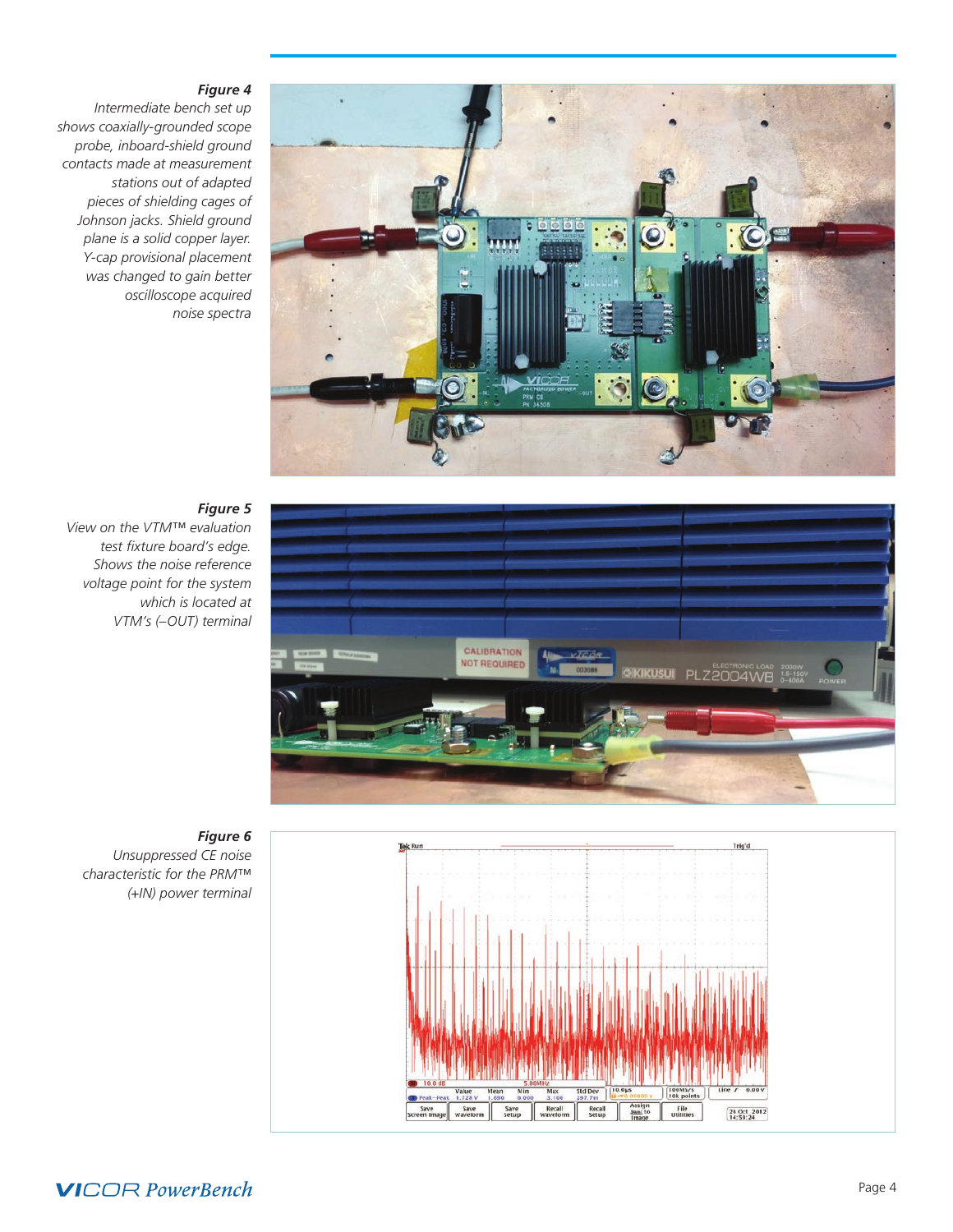# *Figure 4*

*Intermediate bench set up shows coaxially-grounded scope probe, inboard-shield ground contacts made at measurement stations out of adapted pieces of shielding cages of Johnson jacks. Shield ground plane is a solid copper layer. Y-cap provisional placement was changed to gain better oscilloscope acquired noise spectra*



# *Figure 5*

*View on the VTM* ™ *evaluation test fixture board's edge. Shows the noise reference voltage point for the system which is located at VTM's (–OUT) terminal*



#### *Figure 6*

*Unsuppressed CE noise characteristic for the PRM* ™ *(+IN) power terminal*

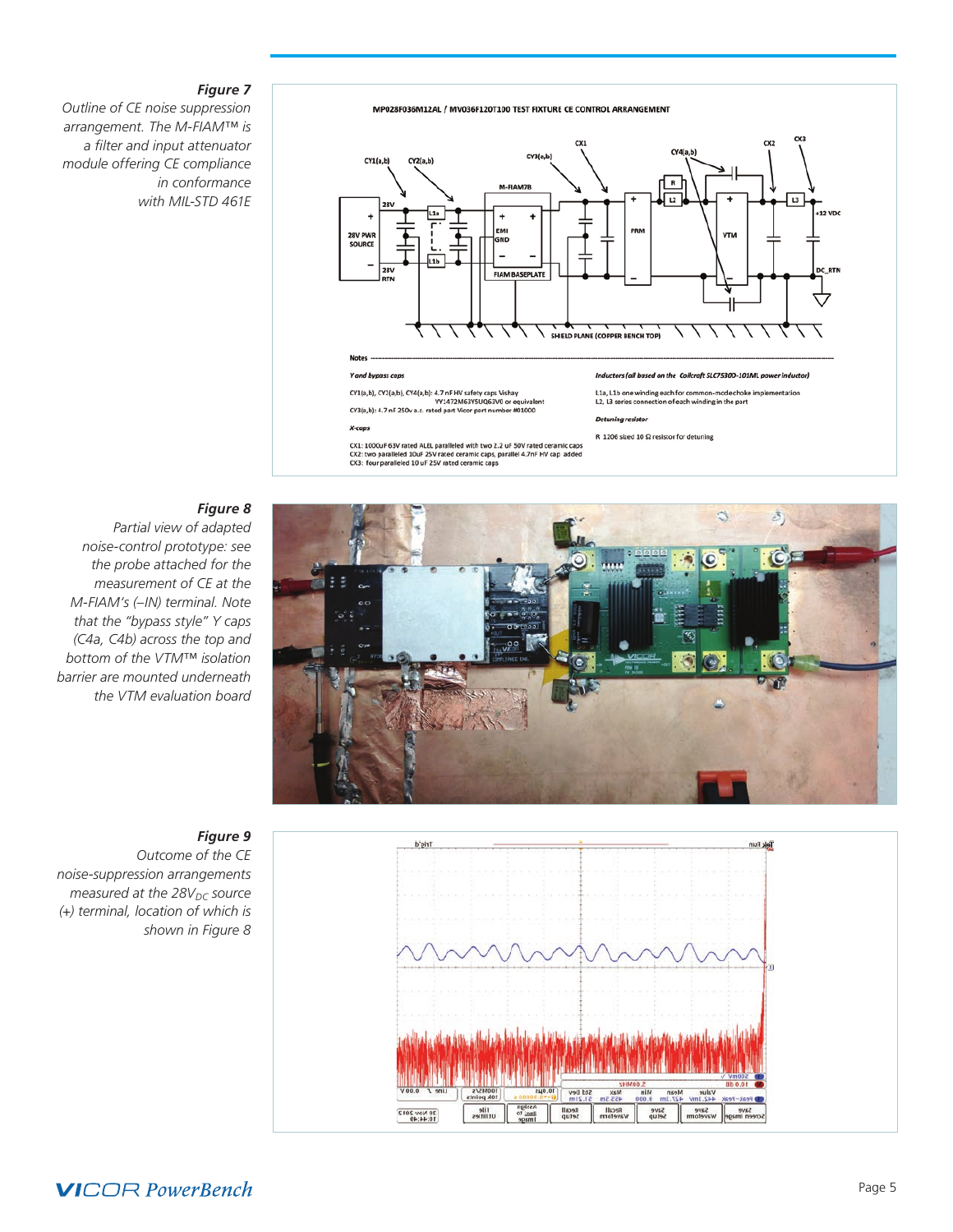#### *Figure 7*

*Outline of CE noise suppression arrangement. The M-FIAM* ™ *is a filter and input attenuator module offering CE compliance in conformance with MIL-STD 461E*



MP028F036M12AL / MV036F120T100 TEST FIXTURE CE CONTROL ARRANGEMENT

#### Y and bypass caps

CY1(a,b), CY2(a,b), CY4(a,b): 4.7 nF HV safety caps Vishay<br>VY1472M63YSUQ63V0 or equivale<br>CY3(a,b): 4.7 nF 250v a.c. rated part Vicor part number #01000

CX1: 1000uF 63V rated ALEL paralleled with two 2.2 uF 50V rated ceramic caps CX2: two paralleled 10uF 25V rated ceramic caps, parallel 4.7nF HV cap added<br>CX3: four paralleled 10 uF 25V rated ceramic caps

#### $X$ -cap

L1a, L1b one winding each for common-mode choke implementation<br>L2, L3 series connection of each winding in the part

uning resistor

R 1206 sized 10  $\Omega$  resistor for detuning

Inductors (all based on the Coilcraft SLC7530D-101ML power inductor)

# *Figure 8*

*Partial view of adapted noise -control prototype: see the probe attached for the measurement of CE at the M-FIAM's (–IN) terminal. Note that the "bypass style" Y caps (C4a, C4b) across the top and bottom of the VTM* ™ *isolation barrier are mounted underneath the VTM evaluation board*





## *Figure 9*

*Outcome of the CE noise -suppression arrangements measured at the 28V<sub>DC</sub> source (+) terminal, location of which is shown in Figure 8*